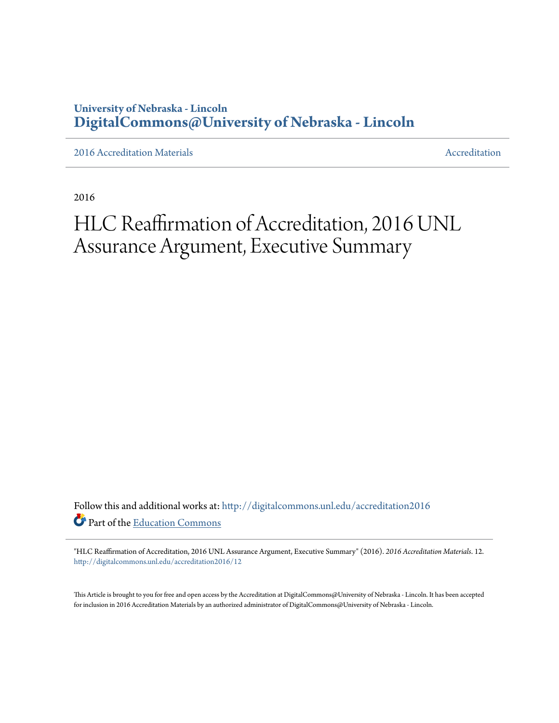### **University of Nebraska - Lincoln [DigitalCommons@University of Nebraska - Lincoln](http://digitalcommons.unl.edu?utm_source=digitalcommons.unl.edu%2Faccreditation2016%2F12&utm_medium=PDF&utm_campaign=PDFCoverPages)**

[2016 Accreditation Materials](http://digitalcommons.unl.edu/accreditation2016?utm_source=digitalcommons.unl.edu%2Faccreditation2016%2F12&utm_medium=PDF&utm_campaign=PDFCoverPages) **[Accreditation](http://digitalcommons.unl.edu/accreditation?utm_source=digitalcommons.unl.edu%2Faccreditation2016%2F12&utm_medium=PDF&utm_campaign=PDFCoverPages) Materials** Accreditation Accreditation

2016

# HLC Reaffirmation of Accreditation, 2016 UNL Assurance Argument, Executive Summary

Follow this and additional works at: [http://digitalcommons.unl.edu/accreditation2016](http://digitalcommons.unl.edu/accreditation2016?utm_source=digitalcommons.unl.edu%2Faccreditation2016%2F12&utm_medium=PDF&utm_campaign=PDFCoverPages) Part of the [Education Commons](http://network.bepress.com/hgg/discipline/784?utm_source=digitalcommons.unl.edu%2Faccreditation2016%2F12&utm_medium=PDF&utm_campaign=PDFCoverPages)

"HLC Reaffirmation of Accreditation, 2016 UNL Assurance Argument, Executive Summary" (2016). *2016 Accreditation Materials*. 12. [http://digitalcommons.unl.edu/accreditation2016/12](http://digitalcommons.unl.edu/accreditation2016/12?utm_source=digitalcommons.unl.edu%2Faccreditation2016%2F12&utm_medium=PDF&utm_campaign=PDFCoverPages)

This Article is brought to you for free and open access by the Accreditation at DigitalCommons@University of Nebraska - Lincoln. It has been accepted for inclusion in 2016 Accreditation Materials by an authorized administrator of DigitalCommons@University of Nebraska - Lincoln.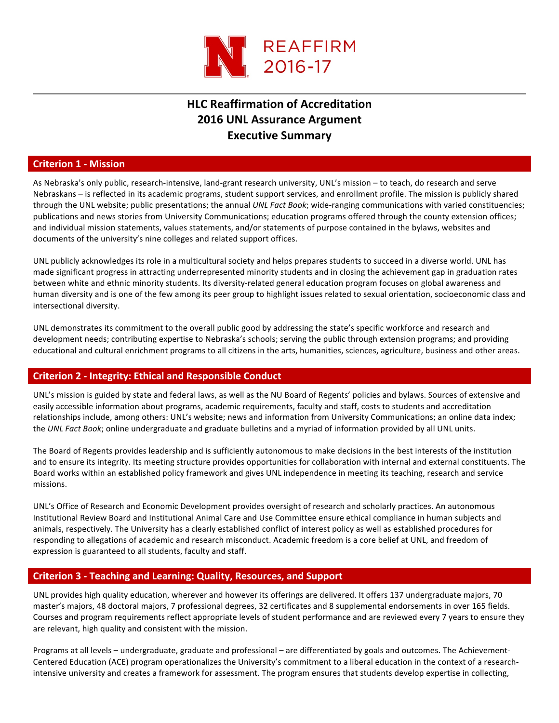

## **HLC Reaffirmation of Accreditation 2016 UNL Assurance Argument Executive Summary**

#### **Criterion 1 - Mission**

As Nebraska's only public, research-intensive, land-grant research university, UNL's mission – to teach, do research and serve Nebraskans – is reflected in its academic programs, student support services, and enrollment profile. The mission is publicly shared through the UNL website; public presentations; the annual *UNL Fact Book*; wide-ranging communications with varied constituencies; publications and news stories from University Communications; education programs offered through the county extension offices; and individual mission statements, values statements, and/or statements of purpose contained in the bylaws, websites and documents of the university's nine colleges and related support offices.

UNL publicly acknowledges its role in a multicultural society and helps prepares students to succeed in a diverse world. UNL has made significant progress in attracting underrepresented minority students and in closing the achievement gap in graduation rates between white and ethnic minority students. Its diversity-related general education program focuses on global awareness and human diversity and is one of the few among its peer group to highlight issues related to sexual orientation, socioeconomic class and intersectional diversity.

UNL demonstrates its commitment to the overall public good by addressing the state's specific workforce and research and development needs; contributing expertise to Nebraska's schools; serving the public through extension programs; and providing educational and cultural enrichment programs to all citizens in the arts, humanities, sciences, agriculture, business and other areas.

#### **Criterion 2 - Integrity: Ethical and Responsible Conduct**

UNL's mission is guided by state and federal laws, as well as the NU Board of Regents' policies and bylaws. Sources of extensive and easily accessible information about programs, academic requirements, faculty and staff, costs to students and accreditation relationships include, among others: UNL's website; news and information from University Communications; an online data index; the *UNL Fact Book*; online undergraduate and graduate bulletins and a myriad of information provided by all UNL units.

The Board of Regents provides leadership and is sufficiently autonomous to make decisions in the best interests of the institution and to ensure its integrity. Its meeting structure provides opportunities for collaboration with internal and external constituents. The Board works within an established policy framework and gives UNL independence in meeting its teaching, research and service missions.

UNL's Office of Research and Economic Development provides oversight of research and scholarly practices. An autonomous Institutional Review Board and Institutional Animal Care and Use Committee ensure ethical compliance in human subjects and animals, respectively. The University has a clearly established conflict of interest policy as well as established procedures for responding to allegations of academic and research misconduct. Academic freedom is a core belief at UNL, and freedom of expression is guaranteed to all students, faculty and staff.

#### **Criterion 3 - Teaching and Learning: Quality, Resources, and Support**

UNL provides high quality education, wherever and however its offerings are delivered. It offers 137 undergraduate majors, 70 master's majors, 48 doctoral majors, 7 professional degrees, 32 certificates and 8 supplemental endorsements in over 165 fields. Courses and program requirements reflect appropriate levels of student performance and are reviewed every 7 years to ensure they are relevant, high quality and consistent with the mission.

Programs at all levels – undergraduate, graduate and professional – are differentiated by goals and outcomes. The Achievement-Centered Education (ACE) program operationalizes the University's commitment to a liberal education in the context of a researchintensive university and creates a framework for assessment. The program ensures that students develop expertise in collecting,